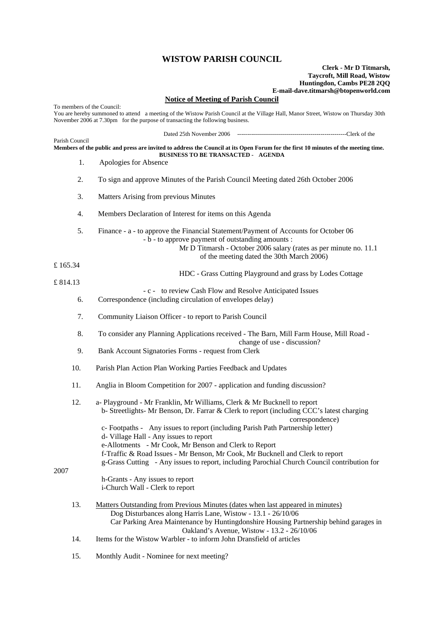## **WISTOW PARISH COUNCIL**

## **Clerk - Mr D Titmarsh, Taycroft, Mill Road, Wistow Huntingdon, Cambs PE28 2QQ E-mail-dave.titmarsh@btopenworld.com**

## **Notice of Meeting of Parish Council**

To members of the Council:

You are hereby summoned to attend a meeting of the Wistow Parish Council at the Village Hall, Manor Street, Wistow on Thursday 30th November 2006 at 7.30pm for the purpose of transacting the following business. Dated 25th November 2006 -------------------------------------------------------Clerk of the Parish Council **Members of the public and press are invited to address the Council at its Open Forum for the first 10 minutes of the meeting time. BUSINESS TO BE TRANSACTED - AGENDA**  1. Apologies for Absence 2. To sign and approve Minutes of the Parish Council Meeting dated 26th October 2006 3. Matters Arising from previous Minutes 4. Members Declaration of Interest for items on this Agenda 5. Finance - a - to approve the Financial Statement/Payment of Accounts for October 06 - b - to approve payment of outstanding amounts : Mr D Titmarsh - October 2006 salary (rates as per minute no. 11.1 of the meeting dated the 30th March 2006) £ 165.34 HDC - Grass Cutting Playground and grass by Lodes Cottage £ 814.13 - c - to review Cash Flow and Resolve Anticipated Issues 6. Correspondence (including circulation of envelopes delay) 7. Community Liaison Officer - to report to Parish Council 8. To consider any Planning Applications received - The Barn, Mill Farm House, Mill Road change of use - discussion? 9. Bank Account Signatories Forms - request from Clerk 10. Parish Plan Action Plan Working Parties Feedback and Updates 11. Anglia in Bloom Competition for 2007 - application and funding discussion? 12. a- Playground - Mr Franklin, Mr Williams, Clerk & Mr Bucknell to report b- Streetlights- Mr Benson, Dr. Farrar & Clerk to report (including CCC's latest charging correspondence) c- Footpaths - Any issues to report (including Parish Path Partnership letter) d- Village Hall - Any issues to report e-Allotments - Mr Cook, Mr Benson and Clerk to Report f-Traffic & Road Issues - Mr Benson, Mr Cook, Mr Bucknell and Clerk to report g-Grass Cutting - Any issues to report, including Parochial Church Council contribution for 2007 h-Grants - Any issues to report i-Church Wall - Clerk to report 13. Matters Outstanding from Previous Minutes (dates when last appeared in minutes) Dog Disturbances along Harris Lane, Wistow - 13.1 - 26/10/06 Car Parking Area Maintenance by Huntingdonshire Housing Partnership behind garages in Oakland's Avenue, Wistow - 13.2 - 26/10/06 14. Items for the Wistow Warbler - to inform John Dransfield of articles

15. Monthly Audit - Nominee for next meeting?